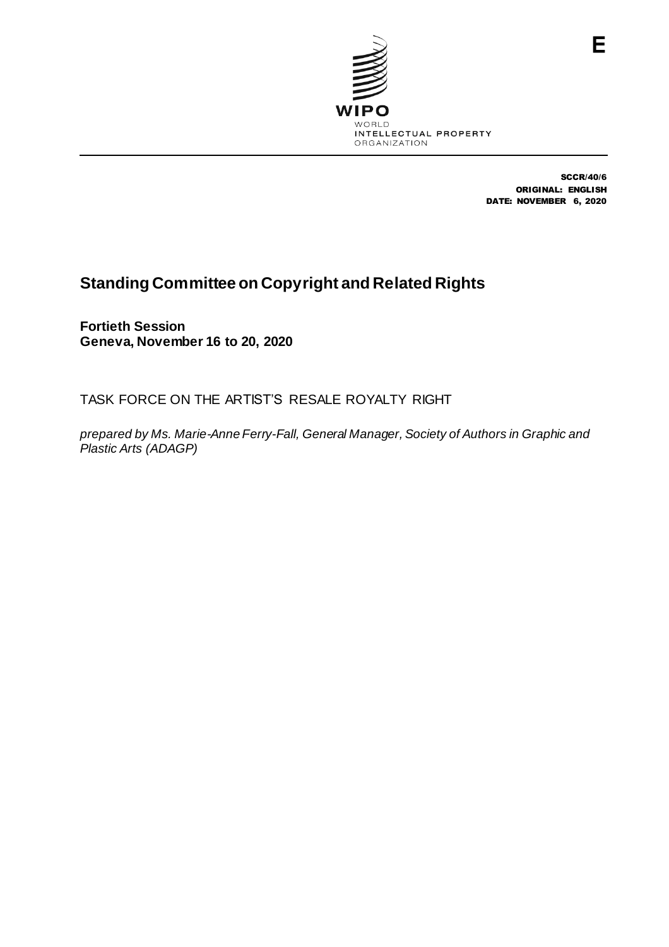

SCCR/40/6 ORIGINAL: ENGLISH DATE: NOVEMBER 6, 2020

## **Standing Committee on Copyright and Related Rights**

**Fortieth Session Geneva, November 16 to 20, 2020**

TASK FORCE ON THE ARTIST'S RESALE ROYALTY RIGHT

*prepared by Ms. Marie-Anne Ferry-Fall, General Manager, Society of Authors in Graphic and Plastic Arts (ADAGP)*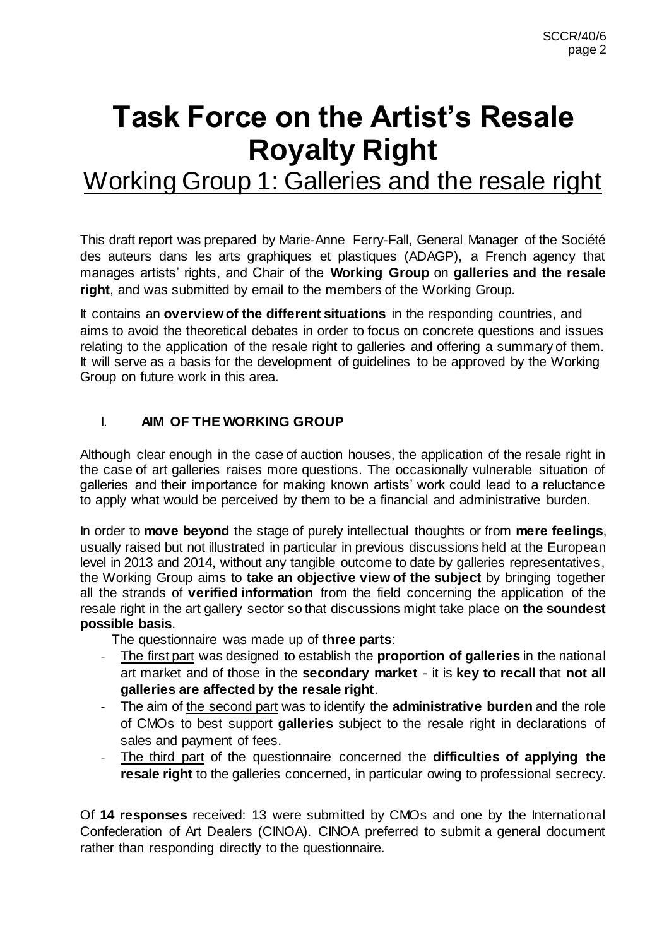# **Task Force on the Artist's Resale Royalty Right**

Working Group 1: Galleries and the resale right

This draft report was prepared by Marie-Anne Ferry-Fall, General Manager of the Société des auteurs dans les arts graphiques et plastiques (ADAGP), a French agency that manages artists' rights, and Chair of the **Working Group** on **galleries and the resale right**, and was submitted by email to the members of the Working Group.

It contains an **overview of the different situations** in the responding countries, and aims to avoid the theoretical debates in order to focus on concrete questions and issues relating to the application of the resale right to galleries and offering a summary of them. It will serve as a basis for the development of guidelines to be approved by the Working Group on future work in this area.

### I. **AIM OF THE WORKING GROUP**

Although clear enough in the case of auction houses, the application of the resale right in the case of art galleries raises more questions. The occasionally vulnerable situation of galleries and their importance for making known artists' work could lead to a reluctance to apply what would be perceived by them to be a financial and administrative burden.

In order to **move beyond** the stage of purely intellectual thoughts or from **mere feelings**, usually raised but not illustrated in particular in previous discussions held at the European level in 2013 and 2014, without any tangible outcome to date by galleries representatives, the Working Group aims to **take an objective view of the subject** by bringing together all the strands of **verified information** from the field concerning the application of the resale right in the art gallery sector so that discussions might take place on **the soundest possible basis**.

The questionnaire was made up of **three parts**:

- The first part was designed to establish the **proportion of galleries** in the national art market and of those in the **secondary market** - it is **key to recall** that **not all galleries are affected by the resale right**.
- The aim of the second part was to identify the **administrative burden** and the role of CMOs to best support **galleries** subject to the resale right in declarations of sales and payment of fees.
- The third part of the questionnaire concerned the **difficulties of applying the resale right** to the galleries concerned, in particular owing to professional secrecy.

Of **14 responses** received: 13 were submitted by CMOs and one by the International Confederation of Art Dealers (CINOA). CINOA preferred to submit a general document rather than responding directly to the questionnaire.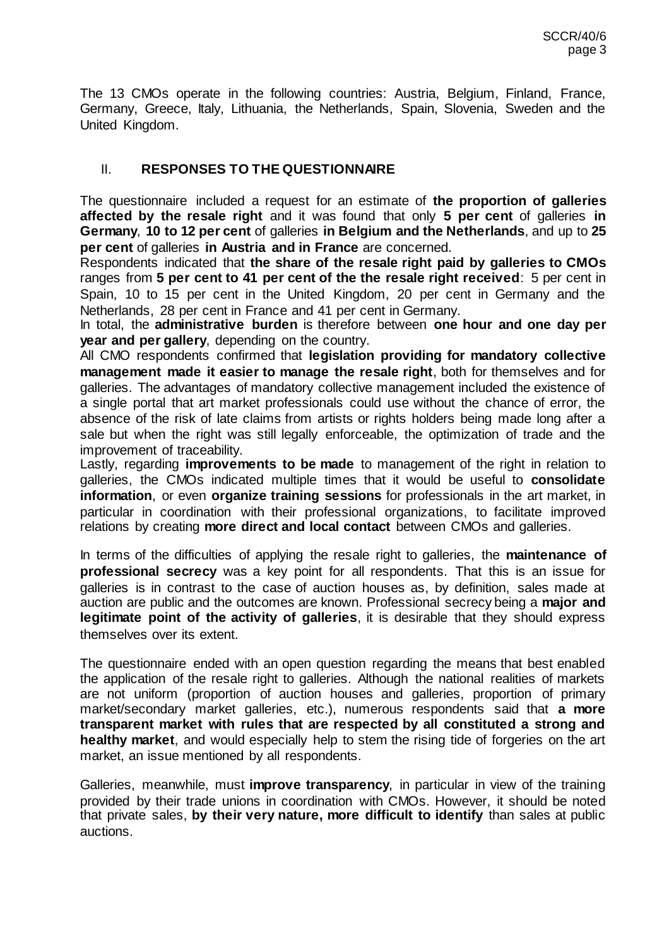The 13 CMOs operate in the following countries: Austria, Belgium, Finland, France, Germany, Greece, Italy, Lithuania, the Netherlands, Spain, Slovenia, Sweden and the United Kingdom.

### II. **RESPONSES TO THE QUESTIONNAIRE**

The questionnaire included a request for an estimate of **the proportion of galleries affected by the resale right** and it was found that only **5 per cent** of galleries **in Germany**, **10 to 12 per cent** of galleries **in Belgium and the Netherlands**, and up to **25 per cent** of galleries **in Austria and in France** are concerned.

Respondents indicated that **the share of the resale right paid by galleries to CMOs** ranges from **5 per cent to 41 per cent of the the resale right received**: 5 per cent in Spain, 10 to 15 per cent in the United Kingdom, 20 per cent in Germany and the Netherlands, 28 per cent in France and 41 per cent in Germany.

In total, the **administrative burden** is therefore between **one hour and one day per year and per gallery**, depending on the country.

All CMO respondents confirmed that **legislation providing for mandatory collective management made it easier to manage the resale right**, both for themselves and for galleries. The advantages of mandatory collective management included the existence of a single portal that art market professionals could use without the chance of error, the absence of the risk of late claims from artists or rights holders being made long after a sale but when the right was still legally enforceable, the optimization of trade and the improvement of traceability.

Lastly, regarding **improvements to be made** to management of the right in relation to galleries, the CMOs indicated multiple times that it would be useful to **consolidate information**, or even **organize training sessions** for professionals in the art market, in particular in coordination with their professional organizations, to facilitate improved relations by creating **more direct and local contact** between CMOs and galleries.

In terms of the difficulties of applying the resale right to galleries, the **maintenance of professional secrecy** was a key point for all respondents. That this is an issue for galleries is in contrast to the case of auction houses as, by definition, sales made at auction are public and the outcomes are known. Professional secrecy being a **major and legitimate point of the activity of galleries**, it is desirable that they should express themselves over its extent.

The questionnaire ended with an open question regarding the means that best enabled the application of the resale right to galleries. Although the national realities of markets are not uniform (proportion of auction houses and galleries, proportion of primary market/secondary market galleries, etc.), numerous respondents said that **a more transparent market with rules that are respected by all constituted a strong and healthy market**, and would especially help to stem the rising tide of forgeries on the art market, an issue mentioned by all respondents.

Galleries, meanwhile, must **improve transparency**, in particular in view of the training provided by their trade unions in coordination with CMOs. However, it should be noted that private sales, **by their very nature, more difficult to identify** than sales at public auctions.